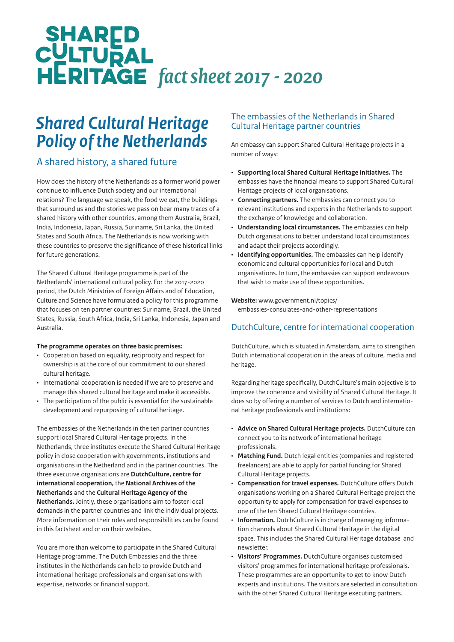# **SHARED<br>CULTURAL<br>HERITAGE** fact sheet 2017 - 2020

# *Shared Cultural Heritage Policy of the Netherlands*

# A shared history, a shared future

How does the history of the Netherlands as a former world power continue to influence Dutch society and our international relations? The language we speak, the food we eat, the buildings that surround us and the stories we pass on bear many traces of a shared history with other countries, among them Australia, Brazil, India, Indonesia, Japan, Russia, Suriname, Sri Lanka, the United States and South Africa. The Netherlands is now working with these countries to preserve the significance of these historical links for future generations.

The Shared Cultural Heritage programme is part of the Netherlands' international cultural policy. For the 2017-2020 period, the Dutch Ministries of Foreign Affairs and of Education, Culture and Science have formulated a policy for this programme that focuses on ten partner countries: Suriname, Brazil, the United States, Russia, South Africa, India, Sri Lanka, Indonesia, Japan and Australia.

#### **The programme operates on three basic premises:**

- Cooperation based on equality, reciprocity and respect for ownership is at the core of our commitment to our shared cultural heritage.
- International cooperation is needed if we are to preserve and manage this shared cultural heritage and make it accessible.
- The participation of the public is essential for the sustainable development and repurposing of cultural heritage.

The embassies of the Netherlands in the ten partner countries support local Shared Cultural Heritage projects. In the Netherlands, three institutes execute the Shared Cultural Heritage policy in close cooperation with governments, institutions and organisations in the Netherland and in the partner countries. The three executive organisations are **DutchCulture, centre for international cooperation,** the **National Archives of the Netherlands** and the **Cultural Heritage Agency of the Netherlands.** Jointly, these organisations aim to foster local demands in the partner countries and link the individual projects. More information on their roles and responsibilities can be found in this factsheet and or on their websites.

You are more than welcome to participate in the Shared Cultural Heritage programme. The Dutch Embassies and the three institutes in the Netherlands can help to provide Dutch and international heritage professionals and organisations with expertise, networks or financial support.

### The embassies of the Netherlands in Shared Cultural Heritage partner countries

An embassy can support Shared Cultural Heritage projects in a number of ways:

- **Supporting local Shared Cultural Heritage initiatives.** The embassies have the financial means to support Shared Cultural Heritage projects of local organisations.
- **Connecting partners.** The embassies can connect you to relevant institutions and experts in the Netherlands to support the exchange of knowledge and collaboration.
- **Understanding local circumstances.** The embassies can help Dutch organisations to better understand local circumstances and adapt their projects accordingly.
- **Identifying opportunities.** The embassies can help identify economic and cultural opportunities for local and Dutch organisations. In turn, the embassies can support endeavours that wish to make use of these opportunities.

# **Website:** www.government.nl/topics/

embassies-consulates-and-other-representations

## DutchCulture, centre for international cooperation

DutchCulture, which is situated in Amsterdam, aims to strengthen Dutch international cooperation in the areas of culture, media and heritage.

Regarding heritage specifically, DutchCulture's main objective is to improve the coherence and visibility of Shared Cultural Heritage. It does so by offering a number of services to Dutch and international heritage professionals and institutions:

- **Advice on Shared Cultural Heritage projects.** DutchCulture can connect you to its network of international heritage professionals.
- **Matching Fund.** Dutch legal entities (companies and registered freelancers) are able to apply for partial funding for Shared Cultural Heritage projects.
- **Compensation for travel expenses.** DutchCulture offers Dutch organisations working on a Shared Cultural Heritage project the opportunity to apply for compensation for travel expenses to one of the ten Shared Cultural Heritage countries.
- **Information.** DutchCulture is in charge of managing information channels about Shared Cultural Heritage in the digital space. This includes the Shared Cultural Heritage database and newsletter.
- **Visitors' Programmes.** DutchCulture organises customised visitors' programmes for international heritage professionals. These programmes are an opportunity to get to know Dutch experts and institutions. The visitors are selected in consultation with the other Shared Cultural Heritage executing partners.